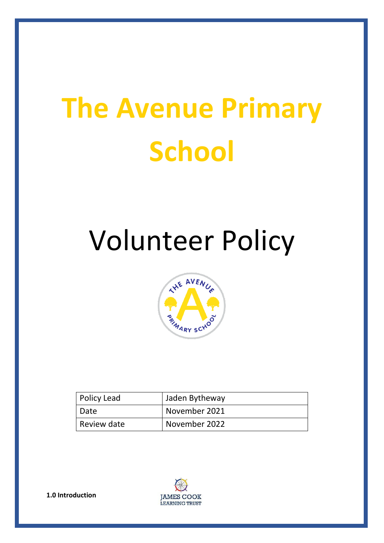# **The Avenue Primary School**

## Volunteer Policy



| <b>Policy Lead</b> | Jaden Bytheway |
|--------------------|----------------|
| Date               | November 2021  |
| Review date        | November 2022  |



**1.0 Introduction**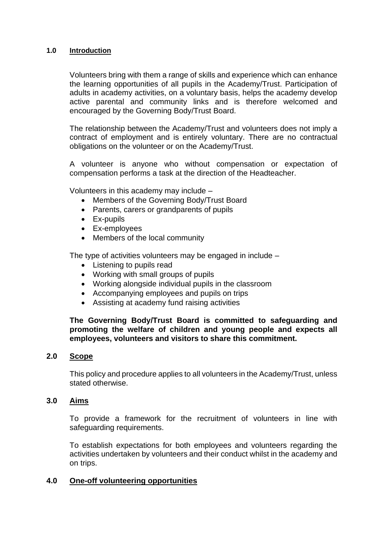#### **1.0 Introduction**

Volunteers bring with them a range of skills and experience which can enhance the learning opportunities of all pupils in the Academy/Trust. Participation of adults in academy activities, on a voluntary basis, helps the academy develop active parental and community links and is therefore welcomed and encouraged by the Governing Body/Trust Board.

The relationship between the Academy/Trust and volunteers does not imply a contract of employment and is entirely voluntary. There are no contractual obligations on the volunteer or on the Academy/Trust.

A volunteer is anyone who without compensation or expectation of compensation performs a task at the direction of the Headteacher.

Volunteers in this academy may include –

- Members of the Governing Body/Trust Board
- Parents, carers or grandparents of pupils
- Ex-pupils
- Ex-employees
- Members of the local community

The type of activities volunteers may be engaged in include –

- Listening to pupils read
- Working with small groups of pupils
- Working alongside individual pupils in the classroom
- Accompanying employees and pupils on trips
- Assisting at academy fund raising activities

#### **The Governing Body/Trust Board is committed to safeguarding and promoting the welfare of children and young people and expects all employees, volunteers and visitors to share this commitment.**

#### **2.0 Scope**

This policy and procedure applies to all volunteers in the Academy/Trust, unless stated otherwise.

#### **3.0 Aims**

To provide a framework for the recruitment of volunteers in line with safeguarding requirements.

To establish expectations for both employees and volunteers regarding the activities undertaken by volunteers and their conduct whilst in the academy and on trips.

#### **4.0 One-off volunteering opportunities**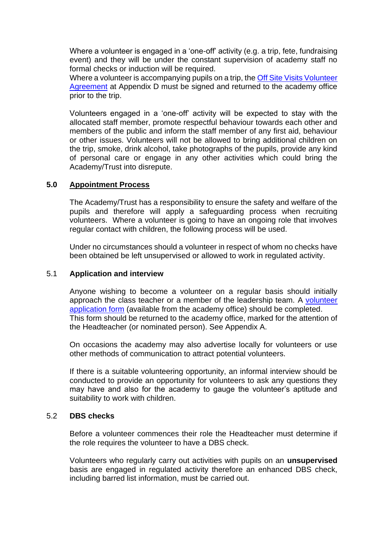Where a volunteer is engaged in a 'one-off' activity (e.g. a trip, fete, fundraising event) and they will be under the constant supervision of academy staff no formal checks or induction will be required.

Where a volunteer is accompanying pupils on a trip, the [Off Site Visits Volunteer](#page-15-0)  [Agreement](#page-15-0) at Appendix D must be signed and returned to the academy office prior to the trip.

Volunteers engaged in a 'one-off' activity will be expected to stay with the allocated staff member, promote respectful behaviour towards each other and members of the public and inform the staff member of any first aid, behaviour or other issues. Volunteers will not be allowed to bring additional children on the trip, smoke, drink alcohol, take photographs of the pupils, provide any kind of personal care or engage in any other activities which could bring the Academy/Trust into disrepute.

#### **5.0 Appointment Process**

The Academy/Trust has a responsibility to ensure the safety and welfare of the pupils and therefore will apply a safeguarding process when recruiting volunteers. Where a volunteer is going to have an ongoing role that involves regular contact with children, the following process will be used.

Under no circumstances should a volunteer in respect of whom no checks have been obtained be left unsupervised or allowed to work in regulated activity.

#### 5.1 **Application and interview**

Anyone wishing to become a volunteer on a regular basis should initially approach the class teacher or a member of the leadership team. A volunteer application form (available from the academy office) should be completed. This form should be returned to the academy office, marked for the attention of the Headteacher (or nominated person). See Appendix A.

On occasions the academy may also advertise locally for volunteers or use other methods of communication to attract potential volunteers.

If there is a suitable volunteering opportunity, an informal interview should be conducted to provide an opportunity for volunteers to ask any questions they may have and also for the academy to gauge the volunteer's aptitude and suitability to work with children.

#### 5.2 **DBS checks**

Before a volunteer commences their role the Headteacher must determine if the role requires the volunteer to have a DBS check.

Volunteers who regularly carry out activities with pupils on an **unsupervised** basis are engaged in regulated activity therefore an enhanced DBS check, including barred list information, must be carried out.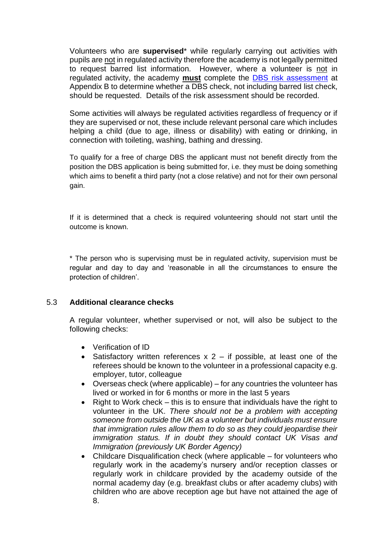Volunteers who are **supervised**\* while regularly carrying out activities with pupils are not in regulated activity therefore the academy is not legally permitted to request barred list information. However, where a volunteer is not in regulated activity, the academy **must** complete the [DBS risk assessment](#page-10-0) at Appendix B to determine whether a DBS check, not including barred list check, should be requested. Details of the risk assessment should be recorded.

Some activities will always be regulated activities regardless of frequency or if they are supervised or not, these include relevant personal care which includes helping a child (due to age, illness or disability) with eating or drinking, in connection with toileting, washing, bathing and dressing.

To qualify for a free of charge DBS the applicant must not benefit directly from the position the DBS application is being submitted for, i.e. they must be doing something which aims to benefit a third party (not a close relative) and not for their own personal gain.

If it is determined that a check is required volunteering should not start until the outcome is known.

\* The person who is supervising must be in regulated activity, supervision must be regular and day to day and 'reasonable in all the circumstances to ensure the protection of children'.

#### 5.3 **Additional clearance checks**

A regular volunteer, whether supervised or not, will also be subject to the following checks:

- Verification of ID
- Satisfactory written references  $x$  2 if possible, at least one of the referees should be known to the volunteer in a professional capacity e.g. employer, tutor, colleague
- Overseas check (where applicable) for any countries the volunteer has lived or worked in for 6 months or more in the last 5 years
- Right to Work check this is to ensure that individuals have the right to volunteer in the UK. *There should not be a problem with accepting someone from outside the UK as a volunteer but individuals must ensure that immigration rules allow them to do so as they could jeopardise their immigration status. If in doubt they should contact UK Visas and Immigration (previously UK Border Agency)*
- Childcare Disqualification check (where applicable for volunteers who regularly work in the academy's nursery and/or reception classes or regularly work in childcare provided by the academy outside of the normal academy day (e.g. breakfast clubs or after academy clubs) with children who are above reception age but have not attained the age of 8.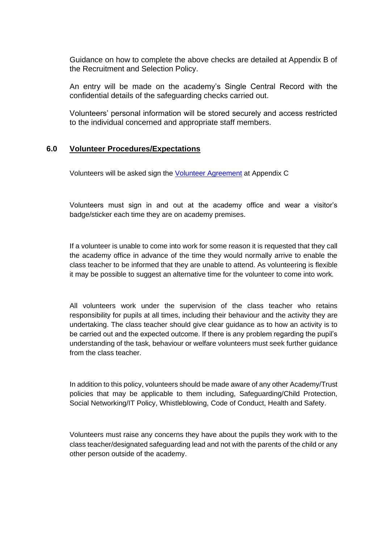Guidance on how to complete the above checks are detailed at Appendix B of the Recruitment and Selection Policy.

An entry will be made on the academy's Single Central Record with the confidential details of the safeguarding checks carried out.

Volunteers' personal information will be stored securely and access restricted to the individual concerned and appropriate staff members.

#### **6.0 Volunteer Procedures/Expectations**

Volunteers will be asked sign the [Volunteer Agreement](#page-13-0) at Appendix C

Volunteers must sign in and out at the academy office and wear a visitor's badge/sticker each time they are on academy premises.

If a volunteer is unable to come into work for some reason it is requested that they call the academy office in advance of the time they would normally arrive to enable the class teacher to be informed that they are unable to attend. As volunteering is flexible it may be possible to suggest an alternative time for the volunteer to come into work.

All volunteers work under the supervision of the class teacher who retains responsibility for pupils at all times, including their behaviour and the activity they are undertaking. The class teacher should give clear guidance as to how an activity is to be carried out and the expected outcome. If there is any problem regarding the pupil's understanding of the task, behaviour or welfare volunteers must seek further guidance from the class teacher.

In addition to this policy, volunteers should be made aware of any other Academy/Trust policies that may be applicable to them including, Safeguarding/Child Protection, Social Networking/IT Policy, Whistleblowing, Code of Conduct, Health and Safety.

Volunteers must raise any concerns they have about the pupils they work with to the class teacher/designated safeguarding lead and not with the parents of the child or any other person outside of the academy.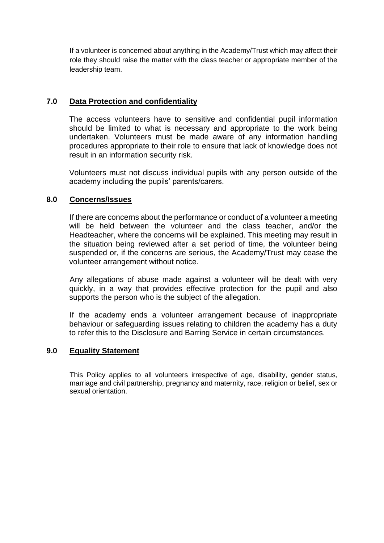If a volunteer is concerned about anything in the Academy/Trust which may affect their role they should raise the matter with the class teacher or appropriate member of the leadership team.

#### **7.0 Data Protection and confidentiality**

The access volunteers have to sensitive and confidential pupil information should be limited to what is necessary and appropriate to the work being undertaken. Volunteers must be made aware of any information handling procedures appropriate to their role to ensure that lack of knowledge does not result in an information security risk.

Volunteers must not discuss individual pupils with any person outside of the academy including the pupils' parents/carers.

#### **8.0 Concerns/Issues**

If there are concerns about the performance or conduct of a volunteer a meeting will be held between the volunteer and the class teacher, and/or the Headteacher, where the concerns will be explained. This meeting may result in the situation being reviewed after a set period of time, the volunteer being suspended or, if the concerns are serious, the Academy/Trust may cease the volunteer arrangement without notice.

Any allegations of abuse made against a volunteer will be dealt with very quickly, in a way that provides effective protection for the pupil and also supports the person who is the subject of the allegation.

If the academy ends a volunteer arrangement because of inappropriate behaviour or safeguarding issues relating to children the academy has a duty to refer this to the Disclosure and Barring Service in certain circumstances.

#### **9.0 Equality Statement**

This Policy applies to all volunteers irrespective of age, disability, gender status, marriage and civil partnership, pregnancy and maternity, race, religion or belief, sex or sexual orientation.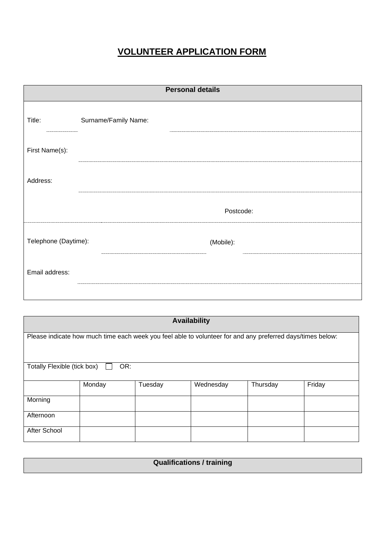## **VOLUNTEER APPLICATION FORM**

| <b>Personal details</b> |                      |  |  |
|-------------------------|----------------------|--|--|
| Title:                  | Surname/Family Name: |  |  |
| First Name(s):          |                      |  |  |
| Address:                |                      |  |  |
|                         | Postcode:            |  |  |
| Telephone (Daytime):    | (Mobile):            |  |  |
| Email address:          |                      |  |  |
|                         |                      |  |  |

| <b>Availability</b>                                                                                        |        |         |           |          |        |
|------------------------------------------------------------------------------------------------------------|--------|---------|-----------|----------|--------|
| Please indicate how much time each week you feel able to volunteer for and any preferred days/times below: |        |         |           |          |        |
|                                                                                                            |        |         |           |          |        |
| Totally Flexible (tick box)                                                                                | OR:    |         |           |          |        |
|                                                                                                            |        |         |           |          |        |
|                                                                                                            | Monday | Tuesday | Wednesday | Thursday | Friday |
| Morning                                                                                                    |        |         |           |          |        |
| Afternoon                                                                                                  |        |         |           |          |        |
|                                                                                                            |        |         |           |          |        |
| After School                                                                                               |        |         |           |          |        |

| <b>Qualifications / training</b> |
|----------------------------------|
|                                  |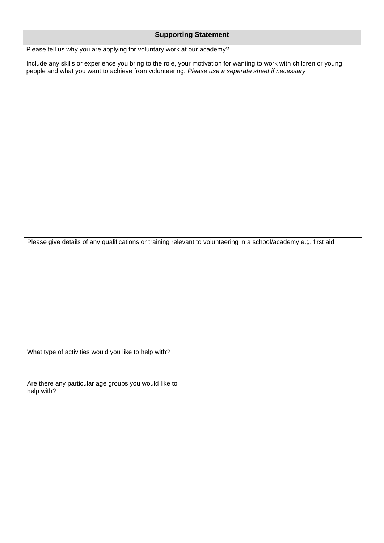| <b>Supporting Statement</b>                                                                                                                                                                                           |  |  |  |
|-----------------------------------------------------------------------------------------------------------------------------------------------------------------------------------------------------------------------|--|--|--|
| Please tell us why you are applying for voluntary work at our academy?                                                                                                                                                |  |  |  |
| Include any skills or experience you bring to the role, your motivation for wanting to work with children or young<br>people and what you want to achieve from volunteering. Please use a separate sheet if necessary |  |  |  |
|                                                                                                                                                                                                                       |  |  |  |
|                                                                                                                                                                                                                       |  |  |  |
|                                                                                                                                                                                                                       |  |  |  |
|                                                                                                                                                                                                                       |  |  |  |
|                                                                                                                                                                                                                       |  |  |  |
|                                                                                                                                                                                                                       |  |  |  |
|                                                                                                                                                                                                                       |  |  |  |
|                                                                                                                                                                                                                       |  |  |  |
|                                                                                                                                                                                                                       |  |  |  |
|                                                                                                                                                                                                                       |  |  |  |
| Please give details of any qualifications or training relevant to volunteering in a school/academy e.g. first aid                                                                                                     |  |  |  |
|                                                                                                                                                                                                                       |  |  |  |
|                                                                                                                                                                                                                       |  |  |  |
|                                                                                                                                                                                                                       |  |  |  |
|                                                                                                                                                                                                                       |  |  |  |
|                                                                                                                                                                                                                       |  |  |  |
|                                                                                                                                                                                                                       |  |  |  |
| What type of activities would you like to help with?                                                                                                                                                                  |  |  |  |
|                                                                                                                                                                                                                       |  |  |  |
| Are there any particular age groups you would like to<br>help with?                                                                                                                                                   |  |  |  |
|                                                                                                                                                                                                                       |  |  |  |
|                                                                                                                                                                                                                       |  |  |  |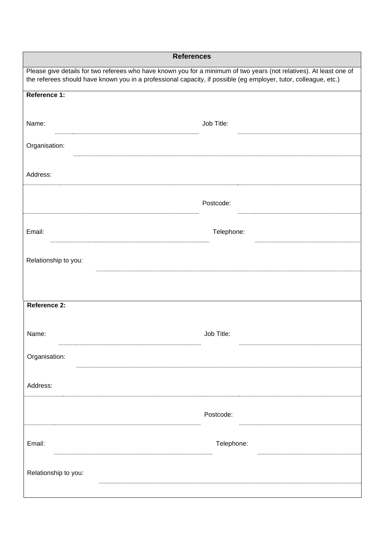| <b>References</b>                                                                                                                                                                                                                       |            |  |  |
|-----------------------------------------------------------------------------------------------------------------------------------------------------------------------------------------------------------------------------------------|------------|--|--|
| Please give details for two referees who have known you for a minimum of two years (not relatives). At least one of<br>the referees should have known you in a professional capacity, if possible (eg employer, tutor, colleague, etc.) |            |  |  |
| Reference 1:                                                                                                                                                                                                                            |            |  |  |
|                                                                                                                                                                                                                                         |            |  |  |
| Name:                                                                                                                                                                                                                                   | Job Title: |  |  |
| Organisation:                                                                                                                                                                                                                           |            |  |  |
| Address:                                                                                                                                                                                                                                |            |  |  |
|                                                                                                                                                                                                                                         |            |  |  |
|                                                                                                                                                                                                                                         | Postcode:  |  |  |
| Email:                                                                                                                                                                                                                                  | Telephone: |  |  |
| Relationship to you:                                                                                                                                                                                                                    |            |  |  |
|                                                                                                                                                                                                                                         |            |  |  |
| Reference 2:                                                                                                                                                                                                                            |            |  |  |
|                                                                                                                                                                                                                                         |            |  |  |
| Name:                                                                                                                                                                                                                                   | Job Title: |  |  |
| Organisation:                                                                                                                                                                                                                           |            |  |  |
| Address:                                                                                                                                                                                                                                |            |  |  |
|                                                                                                                                                                                                                                         |            |  |  |
|                                                                                                                                                                                                                                         | Postcode:  |  |  |
| Email:                                                                                                                                                                                                                                  | Telephone: |  |  |
|                                                                                                                                                                                                                                         |            |  |  |
| Relationship to you:                                                                                                                                                                                                                    |            |  |  |
|                                                                                                                                                                                                                                         |            |  |  |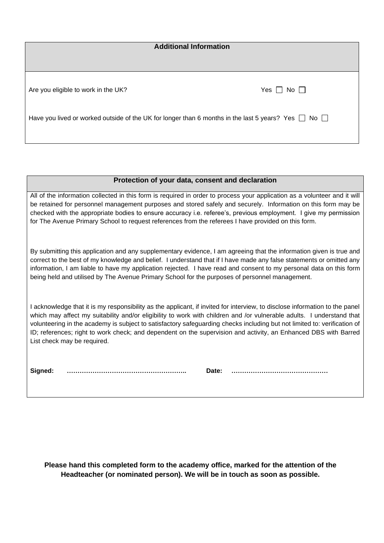| <b>Additional Information</b>                                                                                 |                      |  |  |
|---------------------------------------------------------------------------------------------------------------|----------------------|--|--|
| Are you eligible to work in the UK?                                                                           | Yes $\Box$ No $\Box$ |  |  |
| Have you lived or worked outside of the UK for longer than 6 months in the last 5 years? Yes $\Box$ No $\Box$ |                      |  |  |

#### **Protection of your data, consent and declaration**

All of the information collected in this form is required in order to process your application as a volunteer and it will be retained for personnel management purposes and stored safely and securely. Information on this form may be checked with the appropriate bodies to ensure accuracy i.e. referee's, previous employment. I give my permission for The Avenue Primary School to request references from the referees I have provided on this form.

By submitting this application and any supplementary evidence, I am agreeing that the information given is true and correct to the best of my knowledge and belief. I understand that if I have made any false statements or omitted any information, I am liable to have my application rejected. I have read and consent to my personal data on this form being held and utilised by The Avenue Primary School for the purposes of personnel management.

I acknowledge that it is my responsibility as the applicant, if invited for interview, to disclose information to the panel which may affect my suitability and/or eligibility to work with children and /or vulnerable adults. I understand that volunteering in the academy is subject to satisfactory safeguarding checks including but not limited to: verification of ID; references; right to work check; and dependent on the supervision and activity, an Enhanced DBS with Barred List check may be required.

**Signed: ……………………………………………….. Date: ………………………………………**

**Please hand this completed form to the academy office, marked for the attention of the Headteacher (or nominated person). We will be in touch as soon as possible.**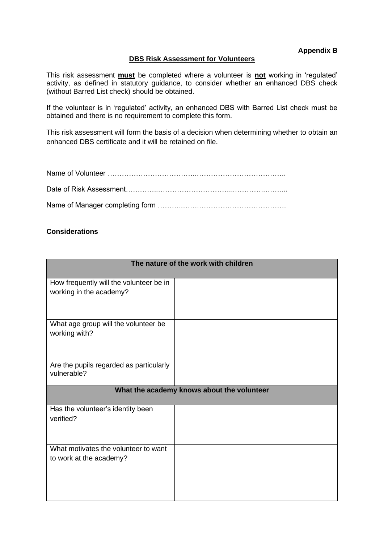#### **Appendix B**

#### **DBS Risk Assessment for Volunteers**

<span id="page-10-0"></span>This risk assessment **must** be completed where a volunteer is **not** working in 'regulated' activity, as defined in statutory guidance, to consider whether an enhanced DBS check (without Barred List check) should be obtained.

If the volunteer is in 'regulated' activity, an enhanced DBS with Barred List check must be obtained and there is no requirement to complete this form.

This risk assessment will form the basis of a decision when determining whether to obtain an enhanced DBS certificate and it will be retained on file.

#### **Considerations**

| The nature of the work with children                            |  |  |  |  |
|-----------------------------------------------------------------|--|--|--|--|
| How frequently will the volunteer be in                         |  |  |  |  |
| working in the academy?                                         |  |  |  |  |
| What age group will the volunteer be<br>working with?           |  |  |  |  |
| Are the pupils regarded as particularly<br>vulnerable?          |  |  |  |  |
| What the academy knows about the volunteer                      |  |  |  |  |
| Has the volunteer's identity been<br>verified?                  |  |  |  |  |
| What motivates the volunteer to want<br>to work at the academy? |  |  |  |  |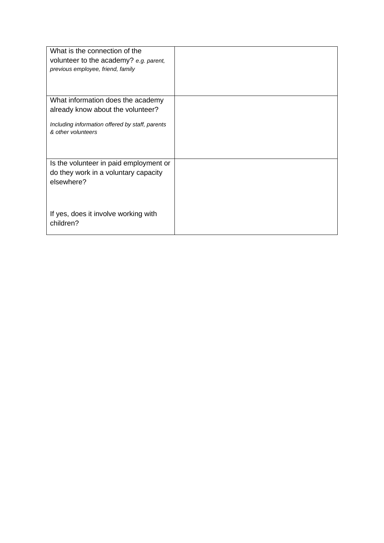| What is the connection of the<br>volunteer to the academy? e.g. parent,<br>previous employee, friend, family |  |
|--------------------------------------------------------------------------------------------------------------|--|
| What information does the academy                                                                            |  |
| already know about the volunteer?                                                                            |  |
|                                                                                                              |  |
| Including information offered by staff, parents<br>& other volunteers                                        |  |
|                                                                                                              |  |
|                                                                                                              |  |
|                                                                                                              |  |
| Is the volunteer in paid employment or                                                                       |  |
| do they work in a voluntary capacity                                                                         |  |
| elsewhere?                                                                                                   |  |
|                                                                                                              |  |
|                                                                                                              |  |
| If yes, does it involve working with                                                                         |  |
| children?                                                                                                    |  |
|                                                                                                              |  |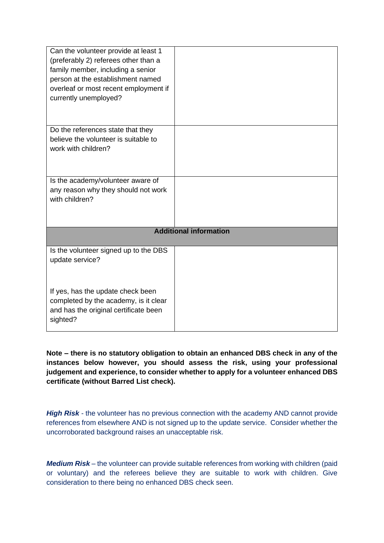| Can the volunteer provide at least 1<br>(preferably 2) referees other than a<br>family member, including a senior<br>person at the establishment named<br>overleaf or most recent employment if<br>currently unemployed? |                               |
|--------------------------------------------------------------------------------------------------------------------------------------------------------------------------------------------------------------------------|-------------------------------|
| Do the references state that they                                                                                                                                                                                        |                               |
| believe the volunteer is suitable to<br>work with children?                                                                                                                                                              |                               |
|                                                                                                                                                                                                                          |                               |
|                                                                                                                                                                                                                          |                               |
| Is the academy/volunteer aware of                                                                                                                                                                                        |                               |
| any reason why they should not work<br>with children?                                                                                                                                                                    |                               |
|                                                                                                                                                                                                                          |                               |
|                                                                                                                                                                                                                          |                               |
|                                                                                                                                                                                                                          | <b>Additional information</b> |
|                                                                                                                                                                                                                          |                               |
| Is the volunteer signed up to the DBS<br>update service?                                                                                                                                                                 |                               |
|                                                                                                                                                                                                                          |                               |
|                                                                                                                                                                                                                          |                               |
| If yes, has the update check been                                                                                                                                                                                        |                               |
| completed by the academy, is it clear                                                                                                                                                                                    |                               |
| and has the original certificate been<br>sighted?                                                                                                                                                                        |                               |
|                                                                                                                                                                                                                          |                               |

**Note – there is no statutory obligation to obtain an enhanced DBS check in any of the instances below however, you should assess the risk, using your professional judgement and experience, to consider whether to apply for a volunteer enhanced DBS certificate (without Barred List check).**

**High Risk** - the volunteer has no previous connection with the academy AND cannot provide references from elsewhere AND is not signed up to the update service. Consider whether the uncorroborated background raises an unacceptable risk.

*Medium Risk* – the volunteer can provide suitable references from working with children (paid or voluntary) and the referees believe they are suitable to work with children. Give consideration to there being no enhanced DBS check seen.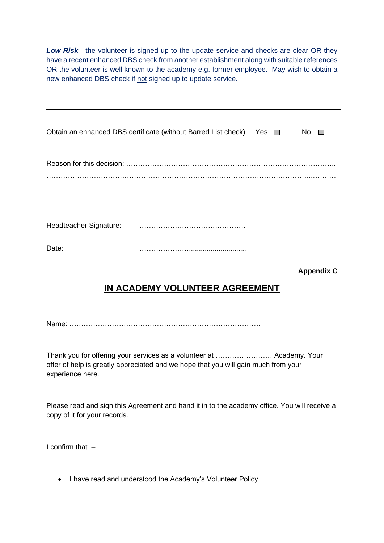**Low Risk** - the volunteer is signed up to the update service and checks are clear OR they have a recent enhanced DBS check from another establishment along with suitable references OR the volunteer is well known to the academy e.g. former employee. May wish to obtain a new enhanced DBS check if not signed up to update service.

|       | Obtain an enhanced DBS certificate (without Barred List check) Yes $\Box$ |  | No $\square$      |
|-------|---------------------------------------------------------------------------|--|-------------------|
|       |                                                                           |  |                   |
|       |                                                                           |  |                   |
|       |                                                                           |  |                   |
| Date: |                                                                           |  |                   |
|       |                                                                           |  | <b>Appendix C</b> |

## **IN ACADEMY VOLUNTEER AGREEMENT**

<span id="page-13-0"></span>Name: ………………………………………………………………………

Thank you for offering your services as a volunteer at …………………… Academy. Your offer of help is greatly appreciated and we hope that you will gain much from your experience here.

Please read and sign this Agreement and hand it in to the academy office. You will receive a copy of it for your records.

I confirm that  $-$ 

• I have read and understood the Academy's Volunteer Policy.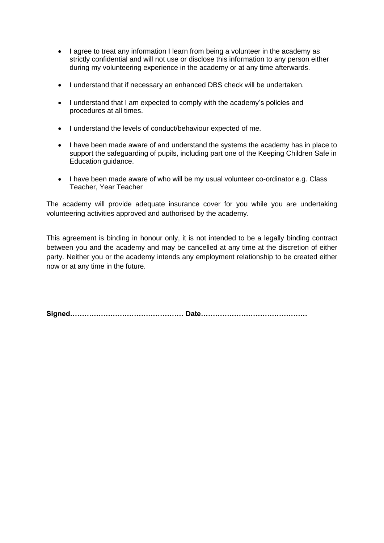- I agree to treat any information I learn from being a volunteer in the academy as strictly confidential and will not use or disclose this information to any person either during my volunteering experience in the academy or at any time afterwards.
- I understand that if necessary an enhanced DBS check will be undertaken.
- I understand that I am expected to comply with the academy's policies and procedures at all times.
- I understand the levels of conduct/behaviour expected of me.
- I have been made aware of and understand the systems the academy has in place to support the safeguarding of pupils, including part one of the Keeping Children Safe in Education guidance.
- I have been made aware of who will be my usual volunteer co-ordinator e.g. Class Teacher, Year Teacher

The academy will provide adequate insurance cover for you while you are undertaking volunteering activities approved and authorised by the academy.

This agreement is binding in honour only, it is not intended to be a legally binding contract between you and the academy and may be cancelled at any time at the discretion of either party. Neither you or the academy intends any employment relationship to be created either now or at any time in the future.

**Signed………………………………………… Date………………………………………**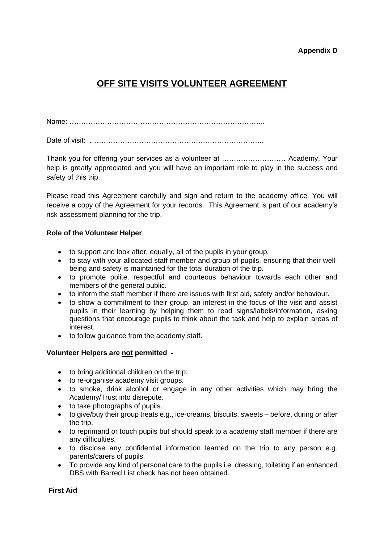#### **Appendix D**

### <span id="page-15-0"></span>**OFF SITE VISITS VOLUNTEER AGREEMENT**

Name: ………………………………………………………………………..

Date of visit: ………………………………………………………………..

Thank you for offering your services as a volunteer at ……………………… Academy. Your help is greatly appreciated and you will have an important role to play in the success and safety of this trip.

Please read this Agreement carefully and sign and return to the academy office. You will receive a copy of the Agreement for your records. This Agreement is part of our academy's risk assessment planning for the trip.

#### **Role of the Volunteer Helper**

- to support and look after, equally, all of the pupils in your group.
- to stay with your allocated staff member and group of pupils, ensuring that their wellbeing and safety is maintained for the total duration of the trip.
- to promote polite, respectful and courteous behaviour towards each other and members of the general public.
- to inform the staff member if there are issues with first aid, safety and/or behaviour.
- to show a commitment to their group, an interest in the focus of the visit and assist pupils in their learning by helping them to read signs/labels/information, asking questions that encourage pupils to think about the task and help to explain areas of interest.
- to follow guidance from the academy staff.

#### **Volunteer Helpers are not permitted -**

- to bring additional children on the trip.
- to re-organise academy visit groups.
- to smoke, drink alcohol or engage in any other activities which may bring the Academy/Trust into disrepute.
- to take photographs of pupils.
- to give/buy their group treats e.g., ice-creams, biscuits, sweets before, during or after the trip.
- to reprimand or touch pupils but should speak to a academy staff member if there are any difficulties.
- to disclose any confidential information learned on the trip to any person e.g. parents/carers of pupils.
- To provide any kind of personal care to the pupils i.e. dressing, toileting if an enhanced DBS with Barred List check has not been obtained.